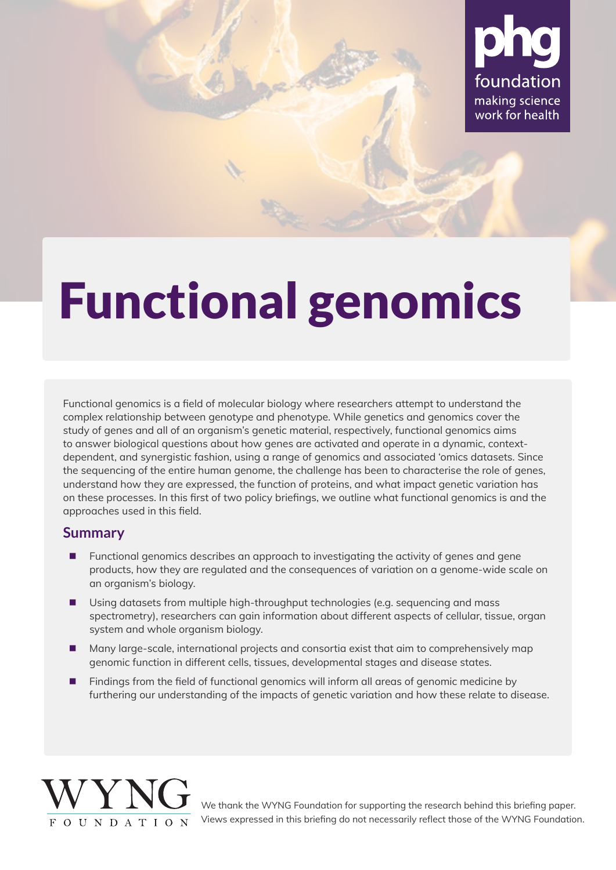

# Functional genomics

Functional genomics is a field of molecular biology where researchers attempt to understand the complex relationship between genotype and phenotype. While genetics and genomics cover the study of genes and all of an organism's genetic material, respectively, functional genomics aims to answer biological questions about how genes are activated and operate in a dynamic, contextdependent, and synergistic fashion, using a range of genomics and associated 'omics datasets. Since the sequencing of the entire human genome, the challenge has been to characterise the role of genes, understand how they are expressed, the function of proteins, and what impact genetic variation has on these processes. In this first of two policy briefings, we outline what functional genomics is and the approaches used in this field.

## **Summary**

- Functional genomics describes an approach to investigating the activity of genes and gene products, how they are regulated and the consequences of variation on a genome-wide scale on an organism's biology.
- Using datasets from multiple high-throughput technologies (e.g. sequencing and mass spectrometry), researchers can gain information about different aspects of cellular, tissue, organ system and whole organism biology.
- **Many large-scale, international projects and consortia exist that aim to comprehensively map** genomic function in different cells, tissues, developmental stages and disease states.
- Findings from the field of functional genomics will inform all areas of genomic medicine by furthering our understanding of the impacts of genetic variation and how these relate to disease.



We thank the WYNG Foundation for supporting the research behind this briefing paper. Views expressed in this briefing do not necessarily reflect those of the WYNG Foundation.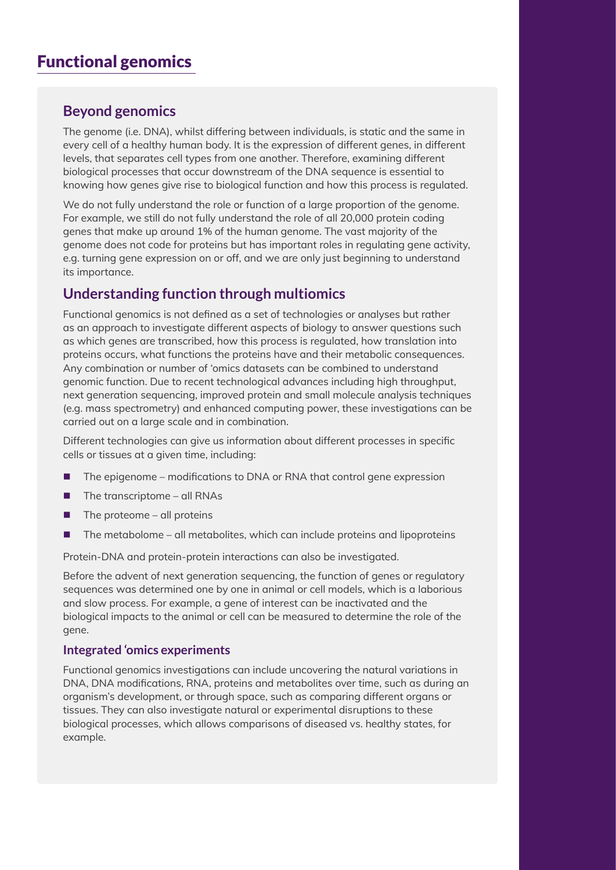# Functional genomics

## **Beyond genomics**

The genome (i.e. DNA), whilst differing between individuals, is static and the same in every cell of a healthy human body. It is the expression of different genes, in different levels, that separates cell types from one another. Therefore, examining different biological processes that occur downstream of the DNA sequence is essential to knowing how genes give rise to biological function and how this process is regulated.

We do not fully understand the role or function of a large proportion of the genome. For example, we still do not fully understand the role of all 20,000 protein coding genes that make up around 1% of the human genome. The vast majority of the genome does not code for proteins but has important roles in regulating gene activity, e.g. turning gene expression on or off, and we are only just beginning to understand its importance.

## **Understanding function through multiomics**

Functional genomics is not defined as a set of technologies or analyses but rather as an approach to investigate different aspects of biology to answer questions such as which genes are transcribed, how this process is regulated, how translation into proteins occurs, what functions the proteins have and their metabolic consequences. Any combination or number of 'omics datasets can be combined to understand genomic function. Due to recent technological advances including high throughput, next generation sequencing, improved protein and small molecule analysis techniques (e.g. mass spectrometry) and enhanced computing power, these investigations can be carried out on a large scale and in combination.

Different technologies can give us information about different processes in specific cells or tissues at a given time, including:

- The epigenome modifications to DNA or RNA that control gene expression
- The transcriptome all RNAs
- $\blacksquare$  The proteome all proteins
- The metabolome all metabolites, which can include proteins and lipoproteins

Protein-DNA and protein-protein interactions can also be investigated.

Before the advent of next generation sequencing, the function of genes or regulatory sequences was determined one by one in animal or cell models, which is a laborious and slow process. For example, a gene of interest can be inactivated and the biological impacts to the animal or cell can be measured to determine the role of the gene.

#### **Integrated 'omics experiments**

Functional genomics investigations can include uncovering the natural variations in DNA, DNA modifications, RNA, proteins and metabolites over time, such as during an organism's development, or through space, such as comparing different organs or tissues. They can also investigate natural or experimental disruptions to these biological processes, which allows comparisons of diseased vs. healthy states, for example.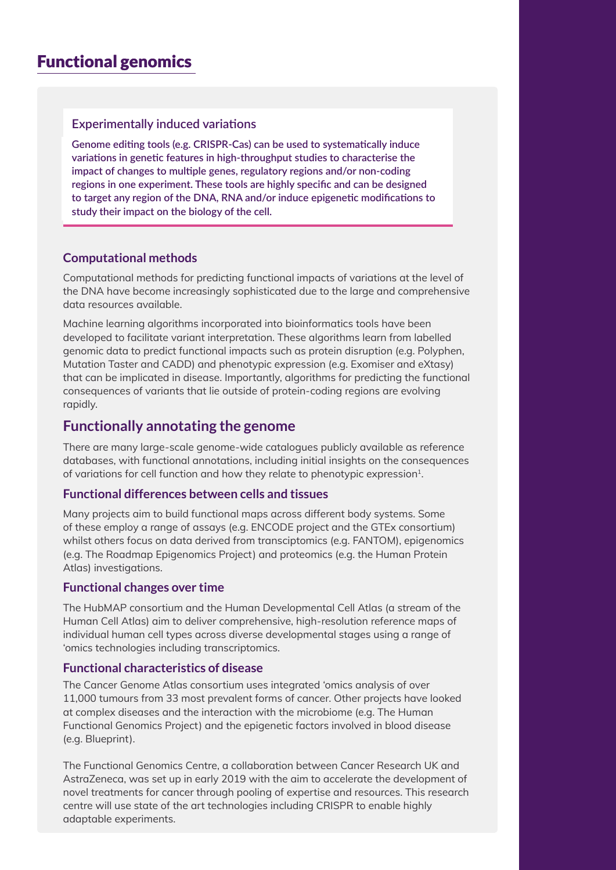## Functional genomics

#### **Experimentally induced variations**

**Genome editing tools (e.g. CRISPR-Cas) can be used to systematically induce variations in genetic features in high-throughput studies to characterise the impact of changes to multiple genes, regulatory regions and/or non-coding regions in one experiment. These tools are highly specific and can be designed to target any region of the DNA, RNA and/or induce epigenetic modifications to study their impact on the biology of the cell.**

#### **Computational methods**

Computational methods for predicting functional impacts of variations at the level of the DNA have become increasingly sophisticated due to the large and comprehensive data resources available.

Machine learning algorithms incorporated into bioinformatics tools have been developed to facilitate variant interpretation. These algorithms learn from labelled genomic data to predict functional impacts such as protein disruption (e.g. Polyphen, Mutation Taster and CADD) and phenotypic expression (e.g. Exomiser and eXtasy) that can be implicated in disease. Importantly, algorithms for predicting the functional consequences of variants that lie outside of protein-coding regions are evolving rapidly.

### **Functionally annotating the genome**

There are many large-scale genome-wide catalogues publicly available as reference databases, with functional annotations, including initial insights on the consequences of variations for cell function and how they relate to phenotypic expression<sup>1</sup>.

#### **Functional differences between cells and tissues**

Many projects aim to build functional maps across different body systems. Some of these employ a range of assays (e.g. [ENCODE project](https://www.encodeproject.org/) and the [GTEx](https://www.gtexportal.org/home/) consortium) whilst others focus on data derived from transciptomics (e.g. [FANTOM\)](https://fantom.gsc.riken.jp/), epigenomics (e.g. [The Roadmap Epigenomics Project](http://www.roadmapepigenomics.org/)) and proteomics (e.g. the [Human Protein](http://www.proteinatlas.org/)  [Atlas](http://www.proteinatlas.org/)) investigations.

#### **Functional changes over time**

The [HubMAP](https://commonfund.nih.gov/hubmap) consortium and the [Human Developmental Cell Atlas](https://www.sanger.ac.uk/news_item/human-cell-atlas-takes-first-steps-towards-understanding-human-development-first-250/) (a stream of the [Human Cell Atlas](https://www.humancellatlas.org/)) aim to deliver comprehensive, high-resolution reference maps of individual human cell types across diverse developmental stages using a range of 'omics technologies including transcriptomics.

#### **Functional characteristics of disease**

[The Cancer Genome Atlas](https://www.cancer.gov/about-nci/organization/ccg/research/structural-genomics/tcga) consortium uses integrated 'omics analysis of over 11,000 tumours from 33 most prevalent forms of cancer. Other projects have looked at complex diseases and the interaction with the microbiome (e.g. [The Human](http://www.humanfunctionalgenomics.org/site/)  [Functional Genomics Project](http://www.humanfunctionalgenomics.org/site/)) and the epigenetic factors involved in blood disease (e.g. [Blueprint](http://www.blueprint-epigenome.eu/index.cfm?p=1A305C49-C1DF-F437-5822711DCF680654)).

The [Functional Genomics Centre,](https://www.cancerresearchuk.org/funding-for-researchers/our-research-infrastructure/functional-genomics-centre) a collaboration between Cancer Research UK and AstraZeneca, was set up in early 2019 with the aim to accelerate the development of novel treatments for cancer through pooling of expertise and resources. This research centre will use state of the art technologies including CRISPR to enable highly adaptable experiments.